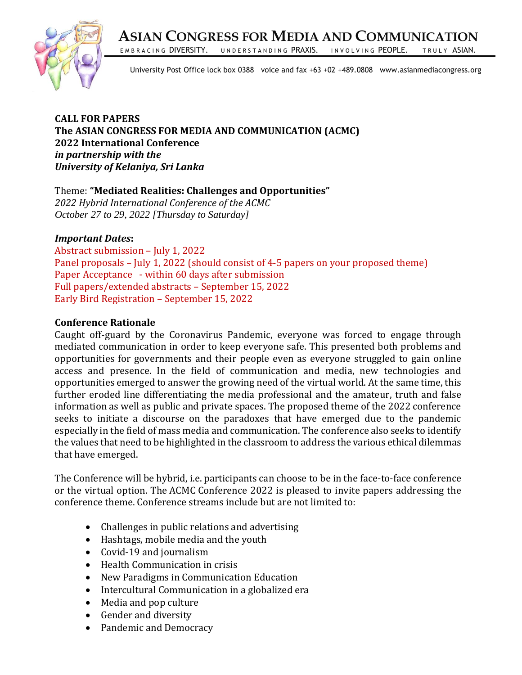**ASIAN CONGRESS FOR MEDIA AND COMMUNICATION**



EMBRACING DIVERSITY. UNDERSTANDING PRAXIS. INVOLVING PEOPLE. TRULY ASIAN.

University Post Office lock box 0388 voice and fax +63 +02 +489.0808 www.asianmediacongress.org

**CALL FOR PAPERS The ASIAN CONGRESS FOR MEDIA AND COMMUNICATION (ACMC) 2022 International Conference**  *in partnership with the University of Kelaniya, Sri Lanka* 

Theme: **"Mediated Realities: Challenges and Opportunities"**  *2022 Hybrid International Conference of the ACMC October 27 to 29, 2022 [Thursday to Saturday]*

## *Important Dates***:**

Abstract submission – July 1, 2022 Panel proposals – July 1, 2022 (should consist of 4-5 papers on your proposed theme) Paper Acceptance - within 60 days after submission Full papers/extended abstracts – September 15, 2022 Early Bird Registration – September 15, 2022

## **Conference Rationale**

Caught off-guard by the Coronavirus Pandemic, everyone was forced to engage through mediated communication in order to keep everyone safe. This presented both problems and opportunities for governments and their people even as everyone struggled to gain online access and presence. In the field of communication and media, new technologies and opportunities emerged to answer the growing need of the virtual world. At the same time, this further eroded line differentiating the media professional and the amateur, truth and false information as well as public and private spaces. The proposed theme of the 2022 conference seeks to initiate a discourse on the paradoxes that have emerged due to the pandemic especially in the field of mass media and communication. The conference also seeks to identify the values that need to be highlighted in the classroom to address the various ethical dilemmas that have emerged.

The Conference will be hybrid, i.e. participants can choose to be in the face-to-face conference or the virtual option. The ACMC Conference 2022 is pleased to invite papers addressing the conference theme. Conference streams include but are not limited to:

- Challenges in public relations and advertising
- Hashtags, mobile media and the youth
- Covid-19 and journalism
- Health Communication in crisis
- New Paradigms in Communication Education
- Intercultural Communication in a globalized era
- Media and pop culture
- Gender and diversity
- Pandemic and Democracy